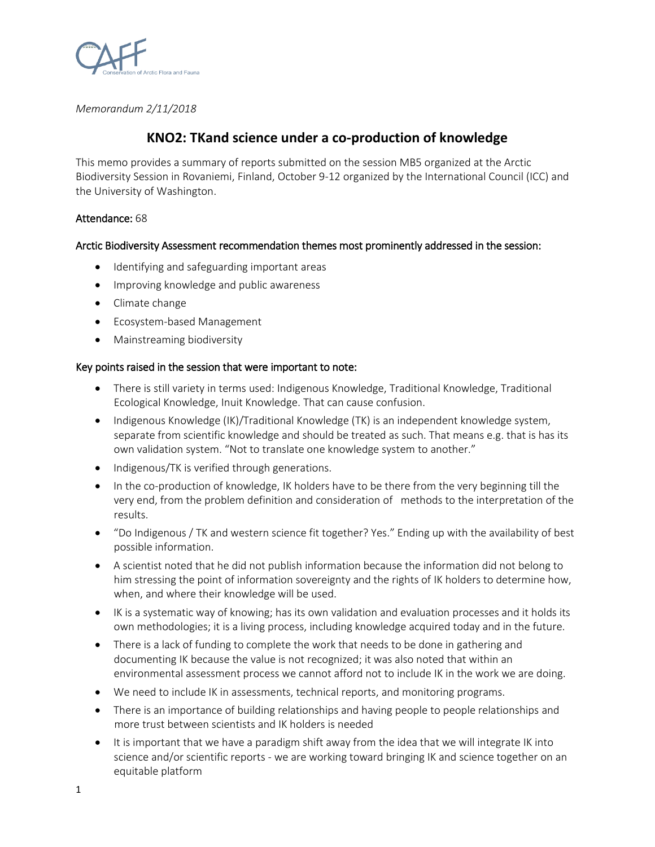

*Memorandum 2/11/2018*

# **KNO2: TKand science under a co-production of knowledge**

This memo provides a summary of reports submitted on the session MB5 organized at the Arctic Biodiversity Session in Rovaniemi, Finland, October 9-12 organized by the International Council (ICC) and the University of Washington.

# Attendance: 68

# Arctic Biodiversity Assessment recommendation themes most prominently addressed in the session:

- Identifying and safeguarding important areas
- Improving knowledge and public awareness
- Climate change
- Ecosystem-based Management
- Mainstreaming biodiversity

## Key points raised in the session that were important to note:

- There is still variety in terms used: Indigenous Knowledge, Traditional Knowledge, Traditional Ecological Knowledge, Inuit Knowledge. That can cause confusion.
- Indigenous Knowledge (IK)/Traditional Knowledge (TK) is an independent knowledge system, separate from scientific knowledge and should be treated as such. That means e.g. that is has its own validation system. "Not to translate one knowledge system to another."
- Indigenous/TK is verified through generations.
- In the co-production of knowledge, IK holders have to be there from the very beginning till the very end, from the problem definition and consideration of methods to the interpretation of the results.
- "Do Indigenous / TK and western science fit together? Yes." Ending up with the availability of best possible information.
- A scientist noted that he did not publish information because the information did not belong to him stressing the point of information sovereignty and the rights of IK holders to determine how, when, and where their knowledge will be used.
- IK is a systematic way of knowing; has its own validation and evaluation processes and it holds its own methodologies; it is a living process, including knowledge acquired today and in the future.
- There is a lack of funding to complete the work that needs to be done in gathering and documenting IK because the value is not recognized; it was also noted that within an environmental assessment process we cannot afford not to include IK in the work we are doing.
- We need to include IK in assessments, technical reports, and monitoring programs.
- There is an importance of building relationships and having people to people relationships and more trust between scientists and IK holders is needed
- It is important that we have a paradigm shift away from the idea that we will integrate IK into science and/or scientific reports - we are working toward bringing IK and science together on an equitable platform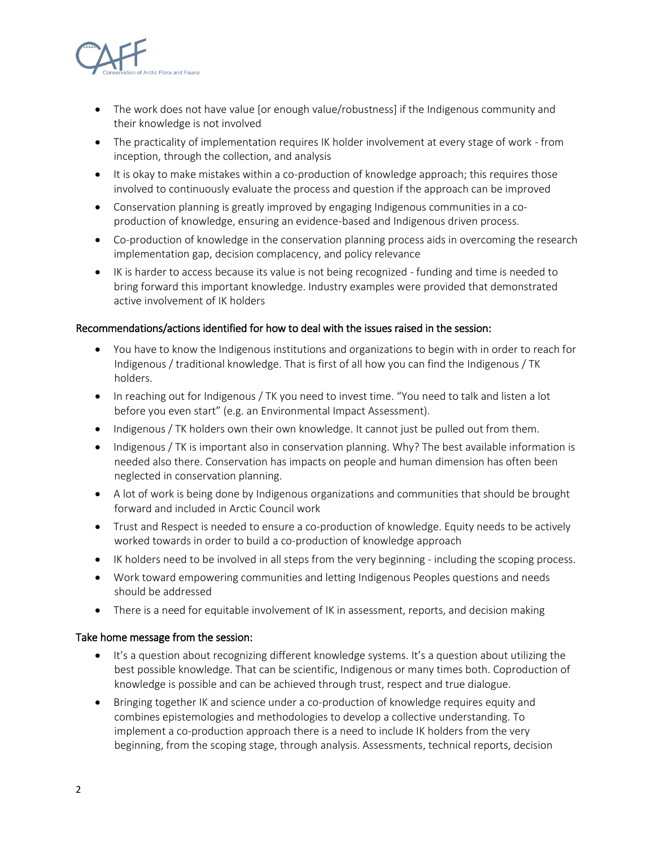

- The work does not have value [or enough value/robustness] if the Indigenous community and their knowledge is not involved
- The practicality of implementation requires IK holder involvement at every stage of work from inception, through the collection, and analysis
- It is okay to make mistakes within a co-production of knowledge approach; this requires those involved to continuously evaluate the process and question if the approach can be improved
- Conservation planning is greatly improved by engaging Indigenous communities in a coproduction of knowledge, ensuring an evidence-based and Indigenous driven process.
- Co-production of knowledge in the conservation planning process aids in overcoming the research implementation gap, decision complacency, and policy relevance
- IK is harder to access because its value is not being recognized funding and time is needed to bring forward this important knowledge. Industry examples were provided that demonstrated active involvement of IK holders

### Recommendations/actions identified for how to deal with the issues raised in the session:

- You have to know the Indigenous institutions and organizations to begin with in order to reach for Indigenous / traditional knowledge. That is first of all how you can find the Indigenous / TK holders.
- In reaching out for Indigenous / TK you need to invest time. "You need to talk and listen a lot before you even start" (e.g. an Environmental Impact Assessment).
- Indigenous / TK holders own their own knowledge. It cannot just be pulled out from them.
- Indigenous / TK is important also in conservation planning. Why? The best available information is needed also there. Conservation has impacts on people and human dimension has often been neglected in conservation planning.
- A lot of work is being done by Indigenous organizations and communities that should be brought forward and included in Arctic Council work
- Trust and Respect is needed to ensure a co-production of knowledge. Equity needs to be actively worked towards in order to build a co-production of knowledge approach
- IK holders need to be involved in all steps from the very beginning including the scoping process.
- Work toward empowering communities and letting Indigenous Peoples questions and needs should be addressed
- There is a need for equitable involvement of IK in assessment, reports, and decision making

#### Take home message from the session:

- It's a question about recognizing different knowledge systems. It's a question about utilizing the best possible knowledge. That can be scientific, Indigenous or many times both. Coproduction of knowledge is possible and can be achieved through trust, respect and true dialogue.
- Bringing together IK and science under a co-production of knowledge requires equity and combines epistemologies and methodologies to develop a collective understanding. To implement a co-production approach there is a need to include IK holders from the very beginning, from the scoping stage, through analysis. Assessments, technical reports, decision